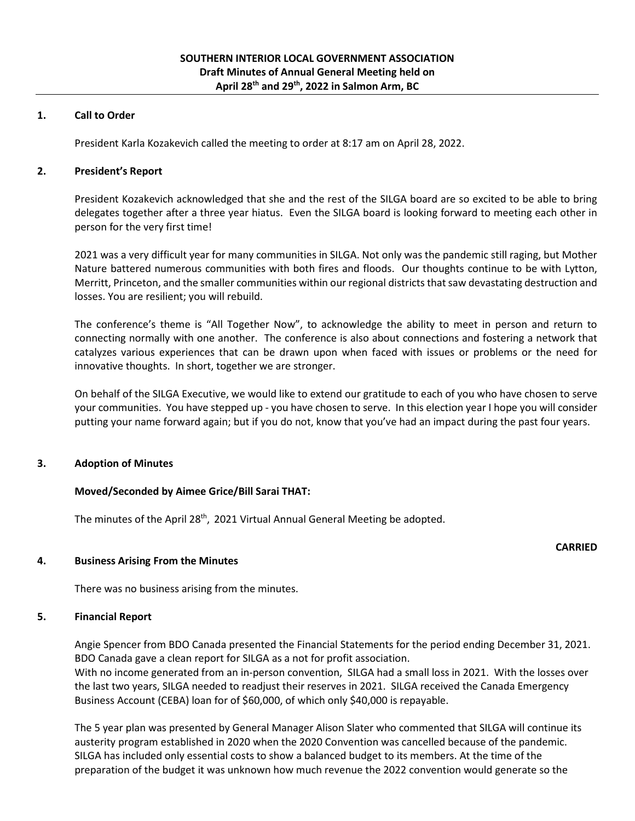#### **1. Call to Order**

President Karla Kozakevich called the meeting to order at 8:17 am on April 28, 2022.

#### **2. President's Report**

President Kozakevich acknowledged that she and the rest of the SILGA board are so excited to be able to bring delegates together after a three year hiatus. Even the SILGA board is looking forward to meeting each other in person for the very first time!

2021 was a very difficult year for many communities in SILGA. Not only was the pandemic still raging, but Mother Nature battered numerous communities with both fires and floods. Our thoughts continue to be with Lytton, Merritt, Princeton, and the smaller communities within our regional districts that saw devastating destruction and losses. You are resilient; you will rebuild.

The conference's theme is "All Together Now", to acknowledge the ability to meet in person and return to connecting normally with one another. The conference is also about connections and fostering a network that catalyzes various experiences that can be drawn upon when faced with issues or problems or the need for innovative thoughts. In short, together we are stronger.

On behalf of the SILGA Executive, we would like to extend our gratitude to each of you who have chosen to serve your communities. You have stepped up - you have chosen to serve. In this election year I hope you will consider putting your name forward again; but if you do not, know that you've had an impact during the past four years.

#### **3. Adoption of Minutes**

#### **Moved/Seconded by Aimee Grice/Bill Sarai THAT:**

The minutes of the April 28<sup>th</sup>, 2021 Virtual Annual General Meeting be adopted.

#### **4. Business Arising From the Minutes**

There was no business arising from the minutes.

#### **5. Financial Report**

Angie Spencer from BDO Canada presented the Financial Statements for the period ending December 31, 2021. BDO Canada gave a clean report for SILGA as a not for profit association.

With no income generated from an in-person convention, SILGA had a small loss in 2021. With the losses over the last two years, SILGA needed to readjust their reserves in 2021. SILGA received the Canada Emergency Business Account (CEBA) loan for of \$60,000, of which only \$40,000 is repayable.

The 5 year plan was presented by General Manager Alison Slater who commented that SILGA will continue its austerity program established in 2020 when the 2020 Convention was cancelled because of the pandemic. SILGA has included only essential costs to show a balanced budget to its members. At the time of the preparation of the budget it was unknown how much revenue the 2022 convention would generate so the

#### **CARRIED**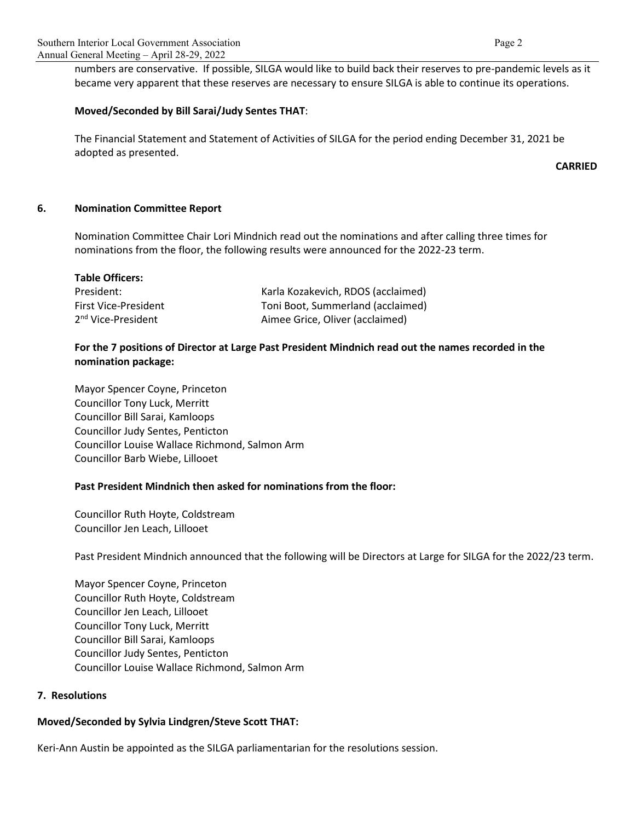numbers are conservative. If possible, SILGA would like to build back their reserves to pre-pandemic levels as it became very apparent that these reserves are necessary to ensure SILGA is able to continue its operations.

#### **Moved/Seconded by Bill Sarai/Judy Sentes THAT**:

The Financial Statement and Statement of Activities of SILGA for the period ending December 31, 2021 be adopted as presented.

**CARRIED**

#### **6. Nomination Committee Report**

Nomination Committee Chair Lori Mindnich read out the nominations and after calling three times for nominations from the floor, the following results were announced for the 2022-23 term.

| <b>Table Officers:</b>         |                                    |
|--------------------------------|------------------------------------|
| President:                     | Karla Kozakevich, RDOS (acclaimed) |
| <b>First Vice-President</b>    | Toni Boot, Summerland (acclaimed)  |
| 2 <sup>nd</sup> Vice-President | Aimee Grice, Oliver (acclaimed)    |

## **For the 7 positions of Director at Large Past President Mindnich read out the names recorded in the nomination package:**

Mayor Spencer Coyne, Princeton Councillor Tony Luck, Merritt Councillor Bill Sarai, Kamloops Councillor Judy Sentes, Penticton Councillor Louise Wallace Richmond, Salmon Arm Councillor Barb Wiebe, Lillooet

#### **Past President Mindnich then asked for nominations from the floor:**

Councillor Ruth Hoyte, Coldstream Councillor Jen Leach, Lillooet

Past President Mindnich announced that the following will be Directors at Large for SILGA for the 2022/23 term.

Mayor Spencer Coyne, Princeton Councillor Ruth Hoyte, Coldstream Councillor Jen Leach, Lillooet Councillor Tony Luck, Merritt Councillor Bill Sarai, Kamloops Councillor Judy Sentes, Penticton Councillor Louise Wallace Richmond, Salmon Arm

#### **7. Resolutions**

#### **Moved/Seconded by Sylvia Lindgren/Steve Scott THAT:**

Keri-Ann Austin be appointed as the SILGA parliamentarian for the resolutions session.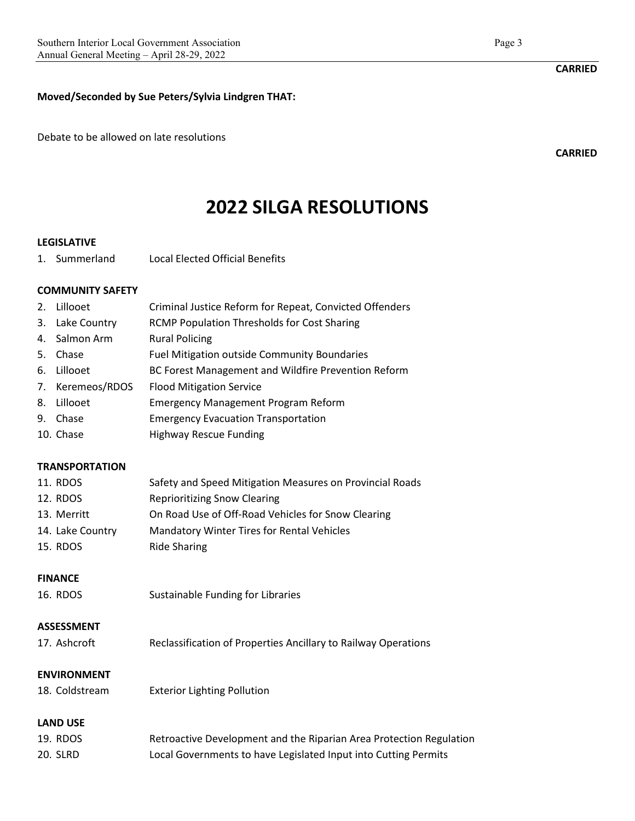**Moved/Seconded by Sue Peters/Sylvia Lindgren THAT:**

Debate to be allowed on late resolutions

**2022 SILGA RESOLUTIONS**

#### **LEGISLATIVE**

1. Summerland Local Elected Official Benefits

#### **COMMUNITY SAFETY**

- 2. Lillooet Criminal Justice Reform for Repeat, Convicted Offenders
- 3. Lake Country RCMP Population Thresholds for Cost Sharing
- 4. Salmon Arm Rural Policing
- 5. Chase Fuel Mitigation outside Community Boundaries
- 6. Lillooet BC Forest Management and Wildfire Prevention Reform
- 7. Keremeos/RDOS Flood Mitigation Service
- 8. Lillooet Emergency Management Program Reform
- 9. Chase Emergency Evacuation Transportation
- 10. Chase Highway Rescue Funding

#### **TRANSPORTATION**

| 11. RDOS         | Safety and Speed Mitigation Measures on Provincial Roads |
|------------------|----------------------------------------------------------|
| 12. RDOS         | <b>Reprioritizing Snow Clearing</b>                      |
| 13. Merritt      | On Road Use of Off-Road Vehicles for Snow Clearing       |
| 14. Lake Country | <b>Mandatory Winter Tires for Rental Vehicles</b>        |
| 15. RDOS         | <b>Ride Sharing</b>                                      |

#### **FINANCE**

16. RDOS Sustainable Funding for Libraries

## **ASSESSMENT**

| Reclassification of Properties Ancillary to Railway Operations<br>17. Ashcroft |  |
|--------------------------------------------------------------------------------|--|
|--------------------------------------------------------------------------------|--|

#### **ENVIRONMENT**

18. Coldstream Exterior Lighting Pollution

# **LAND USE**

| 19. RDOS | Retroactive Development and the Riparian Area Protection Regulation |
|----------|---------------------------------------------------------------------|
| 20. SLRD | Local Governments to have Legislated Input into Cutting Permits     |

### **CARRIED**

**CARRIED**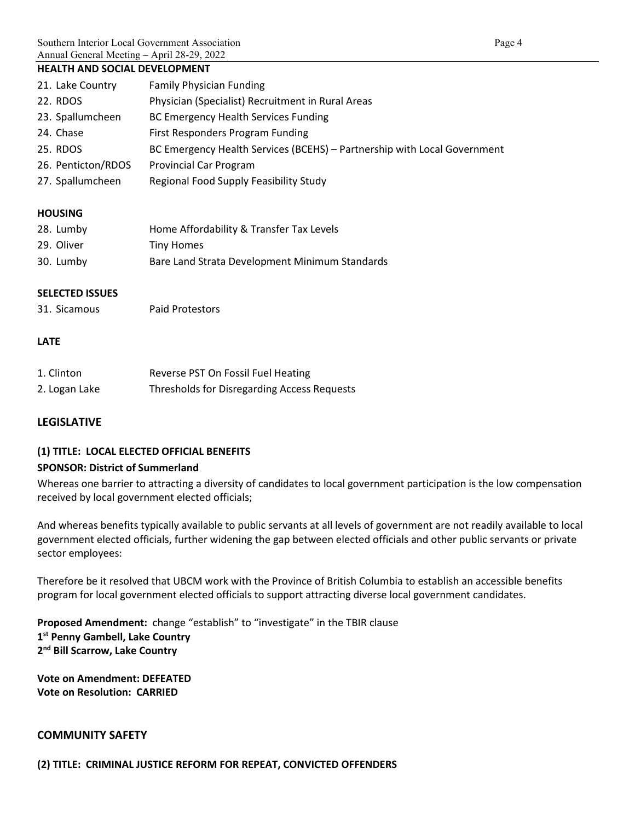#### **HEALTH AND SOCIAL DEVELOPMENT**

| 21. Lake Country   | <b>Family Physician Funding</b>                                          |
|--------------------|--------------------------------------------------------------------------|
| 22. RDOS           | Physician (Specialist) Recruitment in Rural Areas                        |
| 23. Spallumcheen   | <b>BC Emergency Health Services Funding</b>                              |
| 24. Chase          | First Responders Program Funding                                         |
| 25. RDOS           | BC Emergency Health Services (BCEHS) - Partnership with Local Government |
| 26. Penticton/RDOS | <b>Provincial Car Program</b>                                            |
| 27. Spallumcheen   | Regional Food Supply Feasibility Study                                   |
|                    |                                                                          |

## **HOUSING**

| 28. Lumby  | Home Affordability & Transfer Tax Levels       |
|------------|------------------------------------------------|
| 29. Oliver | Tiny Homes                                     |
| 30. Lumby  | Bare Land Strata Development Minimum Standards |

## **SELECTED ISSUES**

31. Sicamous Paid Protestors

## **LATE**

| 1. Clinton    | Reverse PST On Fossil Fuel Heating                 |
|---------------|----------------------------------------------------|
| 2. Logan Lake | <b>Thresholds for Disregarding Access Requests</b> |

#### **LEGISLATIVE**

# **(1) TITLE: LOCAL ELECTED OFFICIAL BENEFITS**

#### **SPONSOR: District of Summerland**

Whereas one barrier to attracting a diversity of candidates to local government participation is the low compensation received by local government elected officials;

And whereas benefits typically available to public servants at all levels of government are not readily available to local government elected officials, further widening the gap between elected officials and other public servants or private sector employees:

Therefore be it resolved that UBCM work with the Province of British Columbia to establish an accessible benefits program for local government elected officials to support attracting diverse local government candidates.

**Proposed Amendment:** change "establish" to "investigate" in the TBIR clause **1st Penny Gambell, Lake Country 2nd Bill Scarrow, Lake Country**

**Vote on Amendment: DEFEATED Vote on Resolution: CARRIED**

## **COMMUNITY SAFETY**

**(2) TITLE: CRIMINAL JUSTICE REFORM FOR REPEAT, CONVICTED OFFENDERS**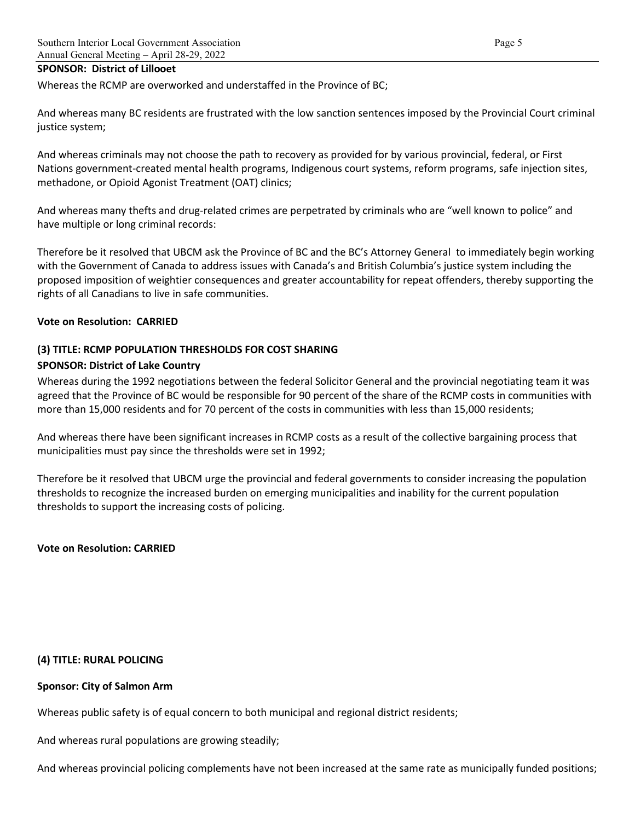#### **SPONSOR: District of Lillooet**

Whereas the RCMP are overworked and understaffed in the Province of BC;

And whereas many BC residents are frustrated with the low sanction sentences imposed by the Provincial Court criminal justice system;

And whereas criminals may not choose the path to recovery as provided for by various provincial, federal, or First Nations government-created mental health programs, Indigenous court systems, reform programs, safe injection sites, methadone, or Opioid Agonist Treatment (OAT) clinics;

And whereas many thefts and drug-related crimes are perpetrated by criminals who are "well known to police" and have multiple or long criminal records:

Therefore be it resolved that UBCM ask the Province of BC and the BC's Attorney General to immediately begin working with the Government of Canada to address issues with Canada's and British Columbia's justice system including the proposed imposition of weightier consequences and greater accountability for repeat offenders, thereby supporting the rights of all Canadians to live in safe communities.

#### **Vote on Resolution: CARRIED**

#### **(3) TITLE: RCMP POPULATION THRESHOLDS FOR COST SHARING**

#### **SPONSOR: District of Lake Country**

Whereas during the 1992 negotiations between the federal Solicitor General and the provincial negotiating team it was agreed that the Province of BC would be responsible for 90 percent of the share of the RCMP costs in communities with more than 15,000 residents and for 70 percent of the costs in communities with less than 15,000 residents;

And whereas there have been significant increases in RCMP costs as a result of the collective bargaining process that municipalities must pay since the thresholds were set in 1992;

Therefore be it resolved that UBCM urge the provincial and federal governments to consider increasing the population thresholds to recognize the increased burden on emerging municipalities and inability for the current population thresholds to support the increasing costs of policing.

**Vote on Resolution: CARRIED**

#### **(4) TITLE: RURAL POLICING**

#### **Sponsor: City of Salmon Arm**

Whereas public safety is of equal concern to both municipal and regional district residents;

And whereas rural populations are growing steadily;

And whereas provincial policing complements have not been increased at the same rate as municipally funded positions;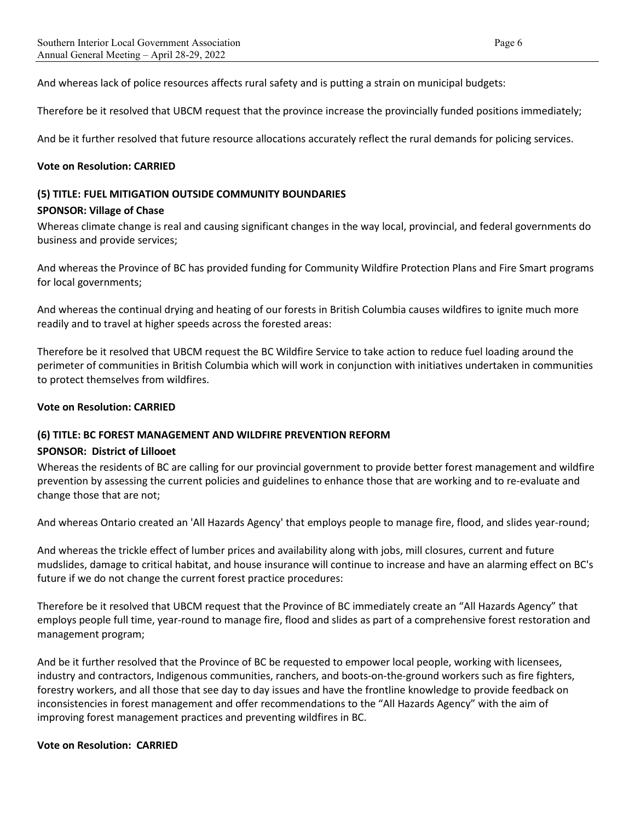And whereas lack of police resources affects rural safety and is putting a strain on municipal budgets:

Therefore be it resolved that UBCM request that the province increase the provincially funded positions immediately;

And be it further resolved that future resource allocations accurately reflect the rural demands for policing services.

#### **Vote on Resolution: CARRIED**

#### **(5) TITLE: FUEL MITIGATION OUTSIDE COMMUNITY BOUNDARIES**

#### **SPONSOR: Village of Chase**

Whereas climate change is real and causing significant changes in the way local, provincial, and federal governments do business and provide services;

And whereas the Province of BC has provided funding for Community Wildfire Protection Plans and Fire Smart programs for local governments;

And whereas the continual drying and heating of our forests in British Columbia causes wildfires to ignite much more readily and to travel at higher speeds across the forested areas:

Therefore be it resolved that UBCM request the BC Wildfire Service to take action to reduce fuel loading around the perimeter of communities in British Columbia which will work in conjunction with initiatives undertaken in communities to protect themselves from wildfires.

#### **Vote on Resolution: CARRIED**

#### **(6) TITLE: BC FOREST MANAGEMENT AND WILDFIRE PREVENTION REFORM**

#### **SPONSOR: District of Lillooet**

Whereas the residents of BC are calling for our provincial government to provide better forest management and wildfire prevention by assessing the current policies and guidelines to enhance those that are working and to re-evaluate and change those that are not;

And whereas Ontario created an 'All Hazards Agency' that employs people to manage fire, flood, and slides year-round;

And whereas the trickle effect of lumber prices and availability along with jobs, mill closures, current and future mudslides, damage to critical habitat, and house insurance will continue to increase and have an alarming effect on BC's future if we do not change the current forest practice procedures:

Therefore be it resolved that UBCM request that the Province of BC immediately create an "All Hazards Agency" that employs people full time, year-round to manage fire, flood and slides as part of a comprehensive forest restoration and management program;

And be it further resolved that the Province of BC be requested to empower local people, working with licensees, industry and contractors, Indigenous communities, ranchers, and boots-on-the-ground workers such as fire fighters, forestry workers, and all those that see day to day issues and have the frontline knowledge to provide feedback on inconsistencies in forest management and offer recommendations to the "All Hazards Agency" with the aim of improving forest management practices and preventing wildfires in BC.

#### **Vote on Resolution: CARRIED**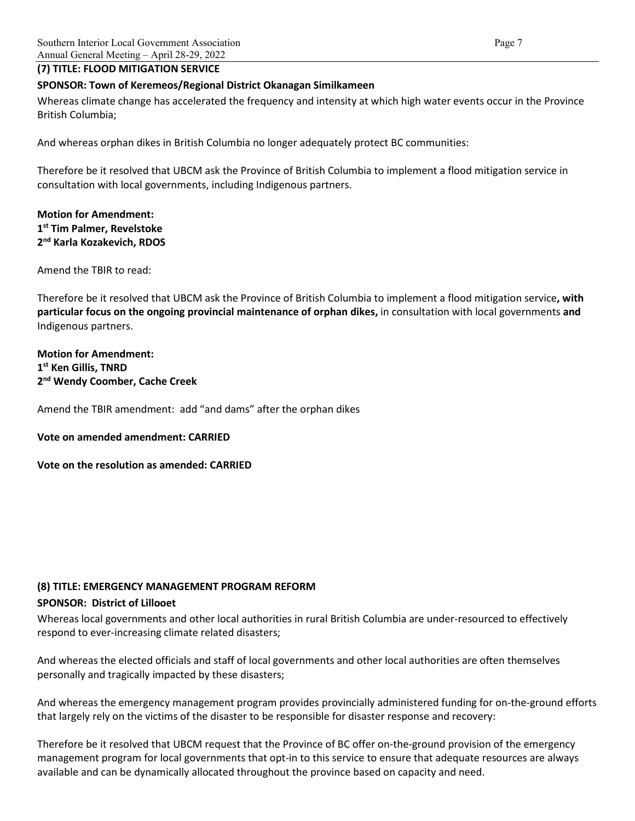#### **(7) TITLE: FLOOD MITIGATION SERVICE**

#### **SPONSOR: Town of Keremeos/Regional District Okanagan Similkameen**

Whereas climate change has accelerated the frequency and intensity at which high water events occur in the Province British Columbia;

And whereas orphan dikes in British Columbia no longer adequately protect BC communities:

Therefore be it resolved that UBCM ask the Province of British Columbia to implement a flood mitigation service in consultation with local governments, including Indigenous partners.

## **Motion for Amendment: 1st Tim Palmer, Revelstoke 2nd Karla Kozakevich, RDOS**

Amend the TBIR to read:

Therefore be it resolved that UBCM ask the Province of British Columbia to implement a flood mitigation service**, with particular focus on the ongoing provincial maintenance of orphan dikes,** in consultation with local governments **and** Indigenous partners.

**Motion for Amendment: 1st Ken Gillis, TNRD 2nd Wendy Coomber, Cache Creek**

Amend the TBIR amendment: add "and dams" after the orphan dikes

**Vote on amended amendment: CARRIED**

**Vote on the resolution as amended: CARRIED**

# **(8) TITLE: EMERGENCY MANAGEMENT PROGRAM REFORM**

#### **SPONSOR: District of Lillooet**

Whereas local governments and other local authorities in rural British Columbia are under-resourced to effectively respond to ever-increasing climate related disasters;

And whereas the elected officials and staff of local governments and other local authorities are often themselves personally and tragically impacted by these disasters;

And whereas the emergency management program provides provincially administered funding for on-the-ground efforts that largely rely on the victims of the disaster to be responsible for disaster response and recovery:

Therefore be it resolved that UBCM request that the Province of BC offer on-the-ground provision of the emergency management program for local governments that opt-in to this service to ensure that adequate resources are always available and can be dynamically allocated throughout the province based on capacity and need.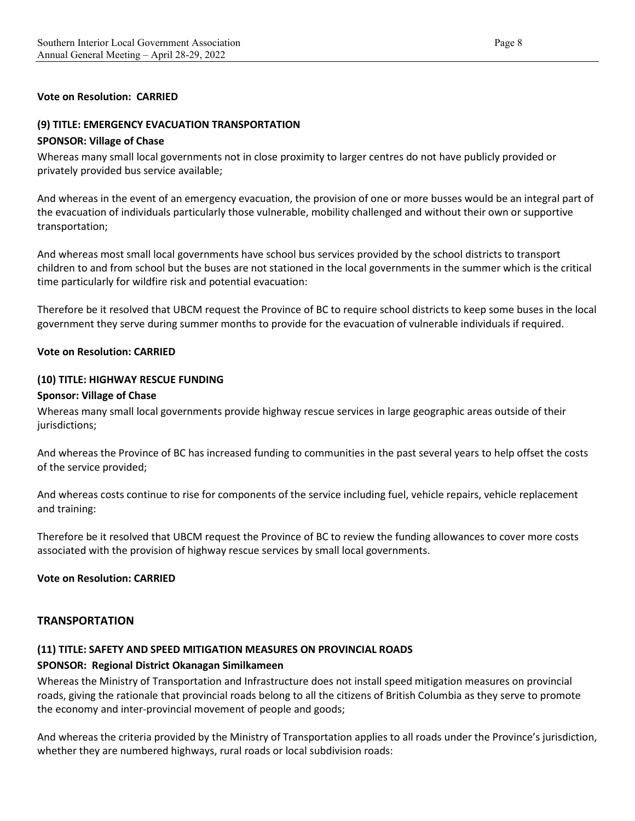#### **Vote on Resolution: CARRIED**

#### **(9) TITLE: EMERGENCY EVACUATION TRANSPORTATION**

#### **SPONSOR: Village of Chase**

Whereas many small local governments not in close proximity to larger centres do not have publicly provided or privately provided bus service available;

And whereas in the event of an emergency evacuation, the provision of one or more busses would be an integral part of the evacuation of individuals particularly those vulnerable, mobility challenged and without their own or supportive transportation;

And whereas most small local governments have school bus services provided by the school districts to transport children to and from school but the buses are not stationed in the local governments in the summer which is the critical time particularly for wildfire risk and potential evacuation:

Therefore be it resolved that UBCM request the Province of BC to require school districts to keep some buses in the local government they serve during summer months to provide for the evacuation of vulnerable individuals if required.

#### **Vote on Resolution: CARRIED**

#### **(10) TITLE: HIGHWAY RESCUE FUNDING**

#### **Sponsor: Village of Chase**

Whereas many small local governments provide highway rescue services in large geographic areas outside of their jurisdictions;

And whereas the Province of BC has increased funding to communities in the past several years to help offset the costs of the service provided;

And whereas costs continue to rise for components of the service including fuel, vehicle repairs, vehicle replacement and training:

Therefore be it resolved that UBCM request the Province of BC to review the funding allowances to cover more costs associated with the provision of highway rescue services by small local governments.

#### **Vote on Resolution: CARRIED**

#### **TRANSPORTATION**

#### **(11) TITLE: SAFETY AND SPEED MITIGATION MEASURES ON PROVINCIAL ROADS**

#### **SPONSOR: Regional District Okanagan Similkameen**

Whereas the Ministry of Transportation and Infrastructure does not install speed mitigation measures on provincial roads, giving the rationale that provincial roads belong to all the citizens of British Columbia as they serve to promote the economy and inter-provincial movement of people and goods;

And whereas the criteria provided by the Ministry of Transportation applies to all roads under the Province's jurisdiction, whether they are numbered highways, rural roads or local subdivision roads: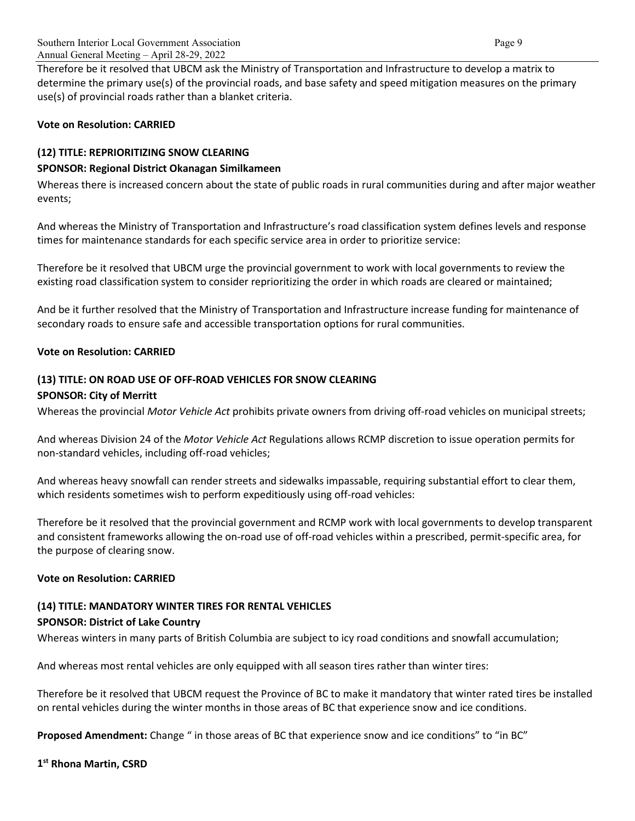Therefore be it resolved that UBCM ask the Ministry of Transportation and Infrastructure to develop a matrix to determine the primary use(s) of the provincial roads, and base safety and speed mitigation measures on the primary use(s) of provincial roads rather than a blanket criteria.

#### **Vote on Resolution: CARRIED**

## **(12) TITLE: REPRIORITIZING SNOW CLEARING**

## **SPONSOR: Regional District Okanagan Similkameen**

Whereas there is increased concern about the state of public roads in rural communities during and after major weather events;

And whereas the Ministry of Transportation and Infrastructure's road classification system defines levels and response times for maintenance standards for each specific service area in order to prioritize service:

Therefore be it resolved that UBCM urge the provincial government to work with local governments to review the existing road classification system to consider reprioritizing the order in which roads are cleared or maintained;

And be it further resolved that the Ministry of Transportation and Infrastructure increase funding for maintenance of secondary roads to ensure safe and accessible transportation options for rural communities.

#### **Vote on Resolution: CARRIED**

# **(13) TITLE: ON ROAD USE OF OFF-ROAD VEHICLES FOR SNOW CLEARING SPONSOR: City of Merritt**

Whereas the provincial *Motor Vehicle Act* prohibits private owners from driving off-road vehicles on municipal streets;

And whereas Division 24 of the *Motor Vehicle Act* Regulations allows RCMP discretion to issue operation permits for non-standard vehicles, including off-road vehicles;

And whereas heavy snowfall can render streets and sidewalks impassable, requiring substantial effort to clear them, which residents sometimes wish to perform expeditiously using off-road vehicles:

Therefore be it resolved that the provincial government and RCMP work with local governments to develop transparent and consistent frameworks allowing the on-road use of off-road vehicles within a prescribed, permit-specific area, for the purpose of clearing snow.

#### **Vote on Resolution: CARRIED**

# **(14) TITLE: MANDATORY WINTER TIRES FOR RENTAL VEHICLES**

#### **SPONSOR: District of Lake Country**

Whereas winters in many parts of British Columbia are subject to icy road conditions and snowfall accumulation;

And whereas most rental vehicles are only equipped with all season tires rather than winter tires:

Therefore be it resolved that UBCM request the Province of BC to make it mandatory that winter rated tires be installed on rental vehicles during the winter months in those areas of BC that experience snow and ice conditions.

**Proposed Amendment:** Change " in those areas of BC that experience snow and ice conditions" to "in BC"

**1st Rhona Martin, CSRD**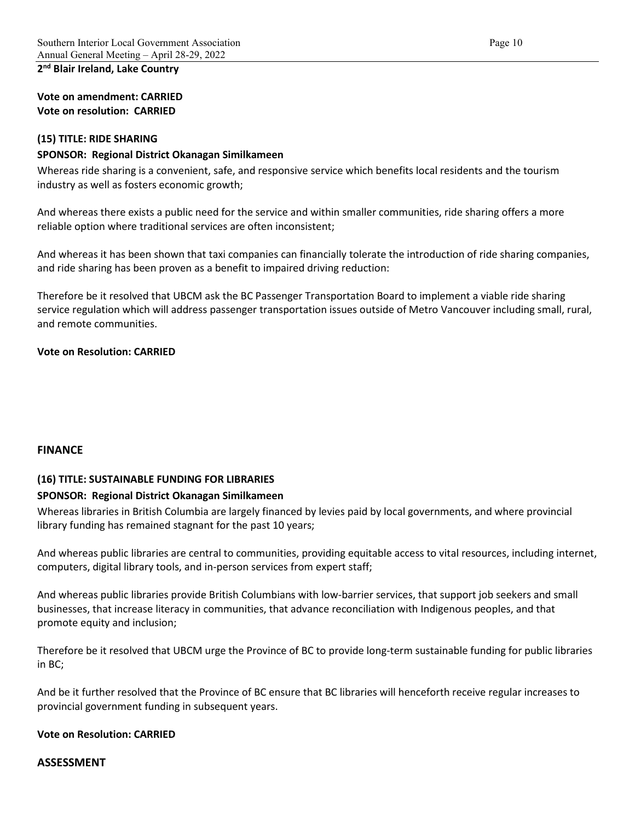# **2nd Blair Ireland, Lake Country**

**Vote on amendment: CARRIED Vote on resolution: CARRIED**

#### **(15) TITLE: RIDE SHARING**

#### **SPONSOR: Regional District Okanagan Similkameen**

Whereas ride sharing is a convenient, safe, and responsive service which benefits local residents and the tourism industry as well as fosters economic growth;

And whereas there exists a public need for the service and within smaller communities, ride sharing offers a more reliable option where traditional services are often inconsistent;

And whereas it has been shown that taxi companies can financially tolerate the introduction of ride sharing companies, and ride sharing has been proven as a benefit to impaired driving reduction:

Therefore be it resolved that UBCM ask the BC Passenger Transportation Board to implement a viable ride sharing service regulation which will address passenger transportation issues outside of Metro Vancouver including small, rural, and remote communities.

#### **Vote on Resolution: CARRIED**

#### **FINANCE**

#### **(16) TITLE: SUSTAINABLE FUNDING FOR LIBRARIES**

#### **SPONSOR: Regional District Okanagan Similkameen**

Whereas libraries in British Columbia are largely financed by levies paid by local governments, and where provincial library funding has remained stagnant for the past 10 years;

And whereas public libraries are central to communities, providing equitable access to vital resources, including internet, computers, digital library tools, and in-person services from expert staff;

And whereas public libraries provide British Columbians with low-barrier services, that support job seekers and small businesses, that increase literacy in communities, that advance reconciliation with Indigenous peoples, and that promote equity and inclusion;

Therefore be it resolved that UBCM urge the Province of BC to provide long-term sustainable funding for public libraries in BC;

And be it further resolved that the Province of BC ensure that BC libraries will henceforth receive regular increases to provincial government funding in subsequent years.

#### **Vote on Resolution: CARRIED**

#### **ASSESSMENT**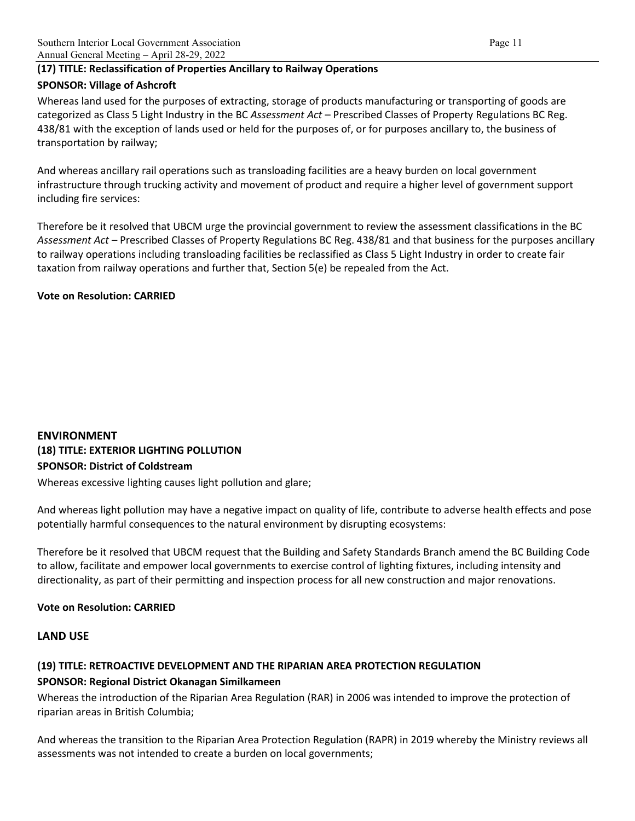# **(17) TITLE: Reclassification of Properties Ancillary to Railway Operations SPONSOR: Village of Ashcroft**

Whereas land used for the purposes of extracting, storage of products manufacturing or transporting of goods are categorized as Class 5 Light Industry in the BC *Assessment Act* – Prescribed Classes of Property Regulations BC Reg. 438/81 with the exception of lands used or held for the purposes of, or for purposes ancillary to, the business of transportation by railway;

And whereas ancillary rail operations such as transloading facilities are a heavy burden on local government infrastructure through trucking activity and movement of product and require a higher level of government support including fire services:

Therefore be it resolved that UBCM urge the provincial government to review the assessment classifications in the BC *Assessment Act* – Prescribed Classes of Property Regulations BC Reg. 438/81 and that business for the purposes ancillary to railway operations including transloading facilities be reclassified as Class 5 Light Industry in order to create fair taxation from railway operations and further that, Section 5(e) be repealed from the Act.

## **Vote on Resolution: CARRIED**

# **ENVIRONMENT (18) TITLE: EXTERIOR LIGHTING POLLUTION SPONSOR: District of Coldstream**

Whereas excessive lighting causes light pollution and glare;

And whereas light pollution may have a negative impact on quality of life, contribute to adverse health effects and pose potentially harmful consequences to the natural environment by disrupting ecosystems:

Therefore be it resolved that UBCM request that the Building and Safety Standards Branch amend the BC Building Code to allow, facilitate and empower local governments to exercise control of lighting fixtures, including intensity and directionality, as part of their permitting and inspection process for all new construction and major renovations.

# **Vote on Resolution: CARRIED**

# **LAND USE**

#### **(19) TITLE: RETROACTIVE DEVELOPMENT AND THE RIPARIAN AREA PROTECTION REGULATION**

#### **SPONSOR: Regional District Okanagan Similkameen**

Whereas the introduction of the Riparian Area Regulation (RAR) in 2006 was intended to improve the protection of riparian areas in British Columbia;

And whereas the transition to the Riparian Area Protection Regulation (RAPR) in 2019 whereby the Ministry reviews all assessments was not intended to create a burden on local governments;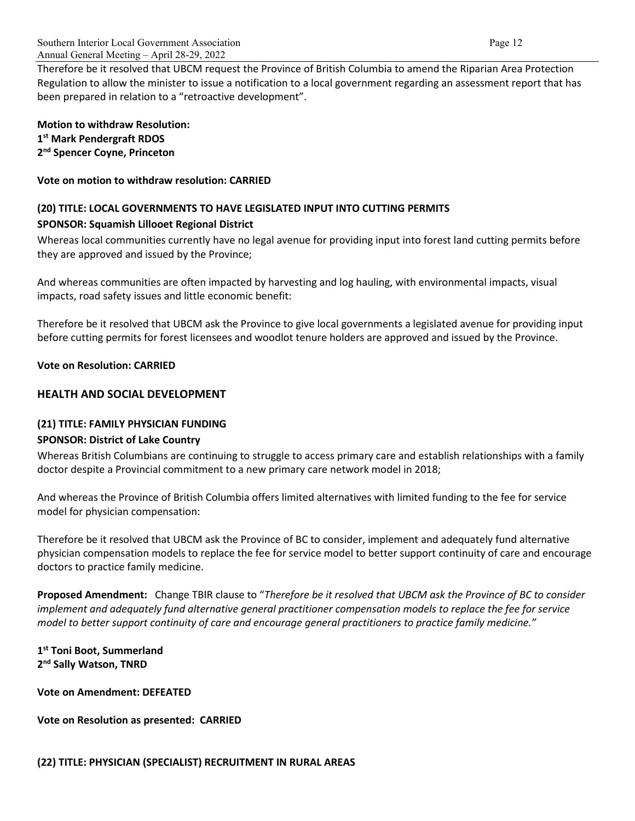Therefore be it resolved that UBCM request the Province of British Columbia to amend the Riparian Area Protection Regulation to allow the minister to issue a notification to a local government regarding an assessment report that has been prepared in relation to a "retroactive development".

**Motion to withdraw Resolution: 1st Mark Pendergraft RDOS 2nd Spencer Coyne, Princeton**

**Vote on motion to withdraw resolution: CARRIED**

# **(20) TITLE: LOCAL GOVERNMENTS TO HAVE LEGISLATED INPUT INTO CUTTING PERMITS SPONSOR: Squamish Lillooet Regional District**

Whereas local communities currently have no legal avenue for providing input into forest land cutting permits before they are approved and issued by the Province;

And whereas communities are often impacted by harvesting and log hauling, with environmental impacts, visual impacts, road safety issues and little economic benefit:

Therefore be it resolved that UBCM ask the Province to give local governments a legislated avenue for providing input before cutting permits for forest licensees and woodlot tenure holders are approved and issued by the Province.

**Vote on Resolution: CARRIED**

# **HEALTH AND SOCIAL DEVELOPMENT**

# **(21) TITLE: FAMILY PHYSICIAN FUNDING**

#### **SPONSOR: District of Lake Country**

Whereas British Columbians are continuing to struggle to access primary care and establish relationships with a family doctor despite a Provincial commitment to a new primary care network model in 2018;

And whereas the Province of British Columbia offers limited alternatives with limited funding to the fee for service model for physician compensation:

Therefore be it resolved that UBCM ask the Province of BC to consider, implement and adequately fund alternative physician compensation models to replace the fee for service model to better support continuity of care and encourage doctors to practice family medicine.

**Proposed Amendment:** Change TBIR clause to "*Therefore be it resolved that UBCM ask the Province of BC to consider implement and adequately fund alternative general practitioner compensation models to replace the fee for service model to better support continuity of care and encourage general practitioners to practice family medicine."*

**1st Toni Boot, Summerland 2nd Sally Watson, TNRD**

**Vote on Amendment: DEFEATED**

**Vote on Resolution as presented: CARRIED**

**(22) TITLE: PHYSICIAN (SPECIALIST) RECRUITMENT IN RURAL AREAS**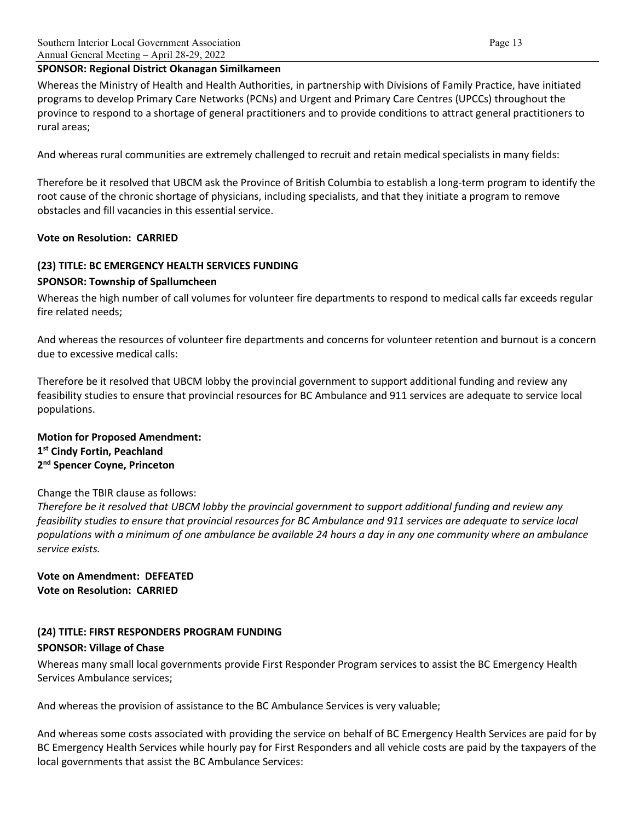## **SPONSOR: Regional District Okanagan Similkameen**

Whereas the Ministry of Health and Health Authorities, in partnership with Divisions of Family Practice, have initiated programs to develop Primary Care Networks (PCNs) and Urgent and Primary Care Centres (UPCCs) throughout the province to respond to a shortage of general practitioners and to provide conditions to attract general practitioners to rural areas;

And whereas rural communities are extremely challenged to recruit and retain medical specialists in many fields:

Therefore be it resolved that UBCM ask the Province of British Columbia to establish a long-term program to identify the root cause of the chronic shortage of physicians, including specialists, and that they initiate a program to remove obstacles and fill vacancies in this essential service.

## **Vote on Resolution: CARRIED**

## **(23) TITLE: BC EMERGENCY HEALTH SERVICES FUNDING**

#### **SPONSOR: Township of Spallumcheen**

Whereas the high number of call volumes for volunteer fire departments to respond to medical calls far exceeds regular fire related needs;

And whereas the resources of volunteer fire departments and concerns for volunteer retention and burnout is a concern due to excessive medical calls:

Therefore be it resolved that UBCM lobby the provincial government to support additional funding and review any feasibility studies to ensure that provincial resources for BC Ambulance and 911 services are adequate to service local populations.

#### **Motion for Proposed Amendment: 1st Cindy Fortin, Peachland 2nd Spencer Coyne, Princeton**

#### Change the TBIR clause as follows:

*Therefore be it resolved that UBCM lobby the provincial government to support additional funding and review any feasibility studies to ensure that provincial resources for BC Ambulance and 911 services are adequate to service local populations with a minimum of one ambulance be available 24 hours a day in any one community where an ambulance service exists.*

**Vote on Amendment: DEFEATED Vote on Resolution: CARRIED**

# **(24) TITLE: FIRST RESPONDERS PROGRAM FUNDING**

# **SPONSOR: Village of Chase**

Whereas many small local governments provide First Responder Program services to assist the BC Emergency Health Services Ambulance services;

And whereas the provision of assistance to the BC Ambulance Services is very valuable;

And whereas some costs associated with providing the service on behalf of BC Emergency Health Services are paid for by BC Emergency Health Services while hourly pay for First Responders and all vehicle costs are paid by the taxpayers of the local governments that assist the BC Ambulance Services: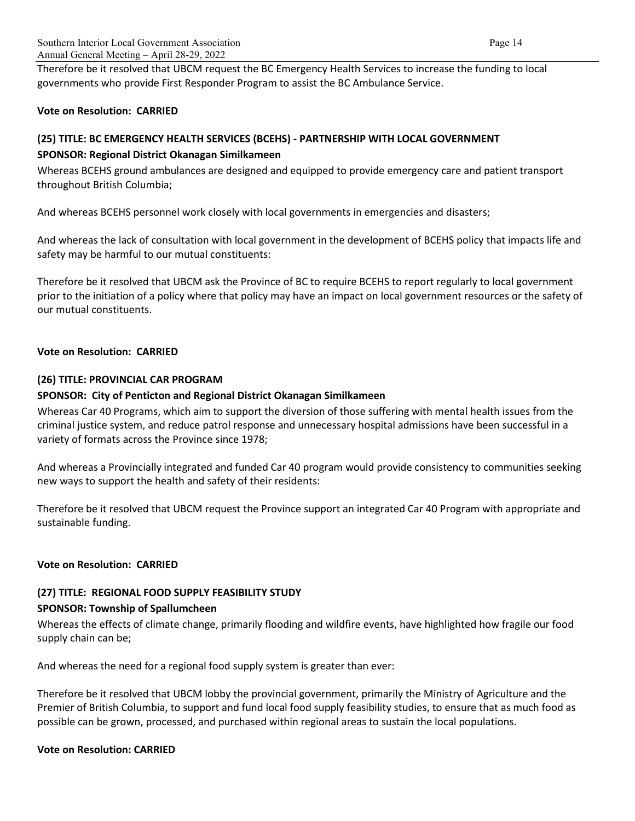Therefore be it resolved that UBCM request the BC Emergency Health Services to increase the funding to local governments who provide First Responder Program to assist the BC Ambulance Service.

## **Vote on Resolution: CARRIED**

# **(25) TITLE: BC EMERGENCY HEALTH SERVICES (BCEHS) - PARTNERSHIP WITH LOCAL GOVERNMENT**

## **SPONSOR: Regional District Okanagan Similkameen**

Whereas BCEHS ground ambulances are designed and equipped to provide emergency care and patient transport throughout British Columbia;

And whereas BCEHS personnel work closely with local governments in emergencies and disasters;

And whereas the lack of consultation with local government in the development of BCEHS policy that impacts life and safety may be harmful to our mutual constituents:

Therefore be it resolved that UBCM ask the Province of BC to require BCEHS to report regularly to local government prior to the initiation of a policy where that policy may have an impact on local government resources or the safety of our mutual constituents.

## **Vote on Resolution: CARRIED**

## **(26) TITLE: PROVINCIAL CAR PROGRAM**

## **SPONSOR: City of Penticton and Regional District Okanagan Similkameen**

Whereas Car 40 Programs, which aim to support the diversion of those suffering with mental health issues from the criminal justice system, and reduce patrol response and unnecessary hospital admissions have been successful in a variety of formats across the Province since 1978;

And whereas a Provincially integrated and funded Car 40 program would provide consistency to communities seeking new ways to support the health and safety of their residents:

Therefore be it resolved that UBCM request the Province support an integrated Car 40 Program with appropriate and sustainable funding.

#### **Vote on Resolution: CARRIED**

# **(27) TITLE: REGIONAL FOOD SUPPLY FEASIBILITY STUDY SPONSOR: Township of Spallumcheen**

Whereas the effects of climate change, primarily flooding and wildfire events, have highlighted how fragile our food supply chain can be;

And whereas the need for a regional food supply system is greater than ever:

Therefore be it resolved that UBCM lobby the provincial government, primarily the Ministry of Agriculture and the Premier of British Columbia, to support and fund local food supply feasibility studies, to ensure that as much food as possible can be grown, processed, and purchased within regional areas to sustain the local populations.

#### **Vote on Resolution: CARRIED**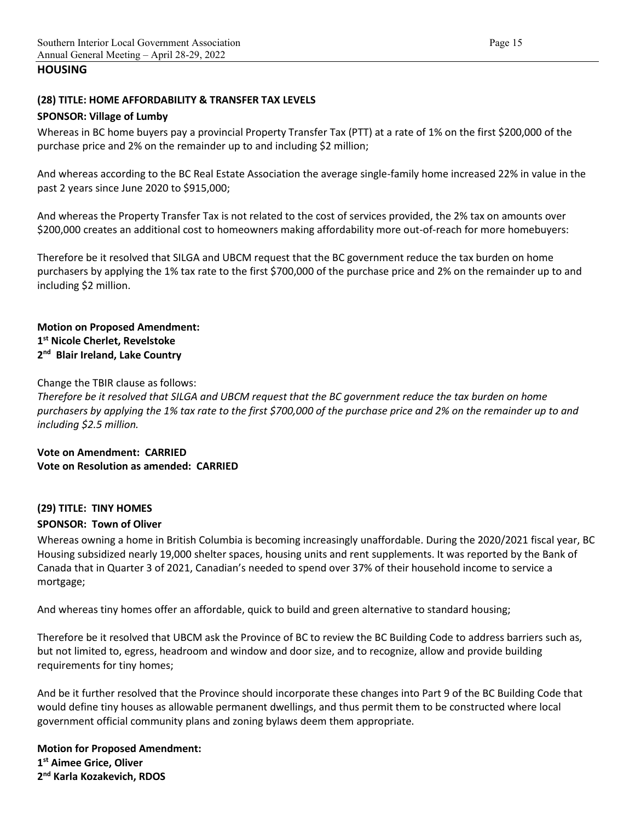## **HOUSING**

#### **(28) TITLE: HOME AFFORDABILITY & TRANSFER TAX LEVELS**

#### **SPONSOR: Village of Lumby**

Whereas in BC home buyers pay a provincial Property Transfer Tax (PTT) at a rate of 1% on the first \$200,000 of the purchase price and 2% on the remainder up to and including \$2 million;

And whereas according to the BC Real Estate Association the average single-family home increased 22% in value in the past 2 years since June 2020 to \$915,000;

And whereas the Property Transfer Tax is not related to the cost of services provided, the 2% tax on amounts over \$200,000 creates an additional cost to homeowners making affordability more out-of-reach for more homebuyers:

Therefore be it resolved that SILGA and UBCM request that the BC government reduce the tax burden on home purchasers by applying the 1% tax rate to the first \$700,000 of the purchase price and 2% on the remainder up to and including \$2 million.

## **Motion on Proposed Amendment: 1st Nicole Cherlet, Revelstoke 2nd Blair Ireland, Lake Country**

Change the TBIR clause as follows:

*Therefore be it resolved that SILGA and UBCM request that the BC government reduce the tax burden on home purchasers by applying the 1% tax rate to the first \$700,000 of the purchase price and 2% on the remainder up to and including \$2.5 million.* 

**Vote on Amendment: CARRIED Vote on Resolution as amended: CARRIED**

#### **(29) TITLE: TINY HOMES**

#### **SPONSOR: Town of Oliver**

Whereas owning a home in British Columbia is becoming increasingly unaffordable. During the 2020/2021 fiscal year, BC Housing subsidized nearly 19,000 shelter spaces, housing units and rent supplements. It was reported by the Bank of Canada that in Quarter 3 of 2021, Canadian's needed to spend over 37% of their household income to service a mortgage;

And whereas tiny homes offer an affordable, quick to build and green alternative to standard housing;

Therefore be it resolved that UBCM ask the Province of BC to review the BC Building Code to address barriers such as, but not limited to, egress, headroom and window and door size, and to recognize, allow and provide building requirements for tiny homes;

And be it further resolved that the Province should incorporate these changes into Part 9 of the BC Building Code that would define tiny houses as allowable permanent dwellings, and thus permit them to be constructed where local government official community plans and zoning bylaws deem them appropriate.

**Motion for Proposed Amendment: 1st Aimee Grice, Oliver 2nd Karla Kozakevich, RDOS**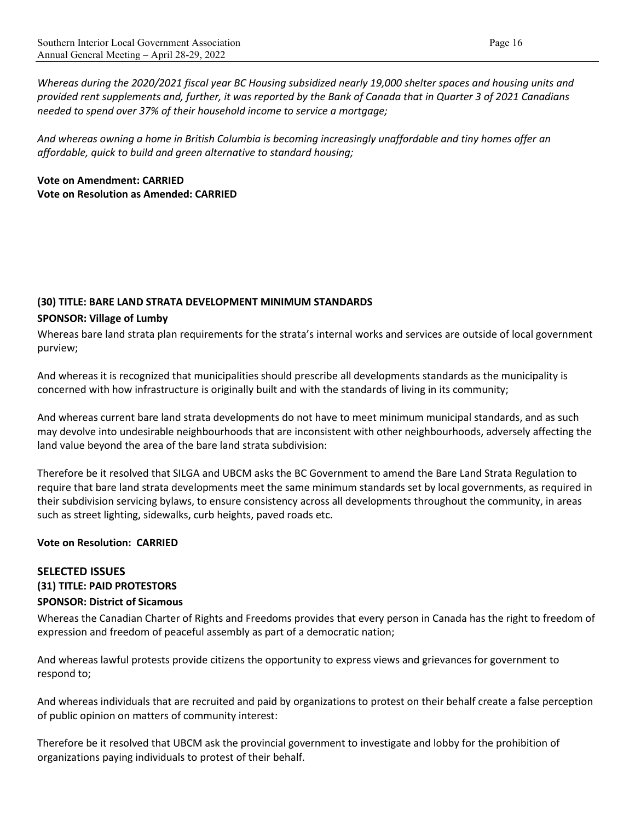*Whereas during the 2020/2021 fiscal year BC Housing subsidized nearly 19,000 shelter spaces and housing units and provided rent supplements and, further, it was reported by the Bank of Canada that in Quarter 3 of 2021 Canadians needed to spend over 37% of their household income to service a mortgage;*

*And whereas owning a home in British Columbia is becoming increasingly unaffordable and tiny homes offer an affordable, quick to build and green alternative to standard housing;*

# **Vote on Amendment: CARRIED Vote on Resolution as Amended: CARRIED**

# **(30) TITLE: BARE LAND STRATA DEVELOPMENT MINIMUM STANDARDS**

#### **SPONSOR: Village of Lumby**

Whereas bare land strata plan requirements for the strata's internal works and services are outside of local government purview;

And whereas it is recognized that municipalities should prescribe all developments standards as the municipality is concerned with how infrastructure is originally built and with the standards of living in its community;

And whereas current bare land strata developments do not have to meet minimum municipal standards, and as such may devolve into undesirable neighbourhoods that are inconsistent with other neighbourhoods, adversely affecting the land value beyond the area of the bare land strata subdivision:

Therefore be it resolved that SILGA and UBCM asks the BC Government to amend the Bare Land Strata Regulation to require that bare land strata developments meet the same minimum standards set by local governments, as required in their subdivision servicing bylaws, to ensure consistency across all developments throughout the community, in areas such as street lighting, sidewalks, curb heights, paved roads etc.

#### **Vote on Resolution: CARRIED**

# **SELECTED ISSUES**

#### **(31) TITLE: PAID PROTESTORS**

#### **SPONSOR: District of Sicamous**

Whereas the Canadian Charter of Rights and Freedoms provides that every person in Canada has the right to freedom of expression and freedom of peaceful assembly as part of a democratic nation;

And whereas lawful protests provide citizens the opportunity to express views and grievances for government to respond to;

And whereas individuals that are recruited and paid by organizations to protest on their behalf create a false perception of public opinion on matters of community interest:

Therefore be it resolved that UBCM ask the provincial government to investigate and lobby for the prohibition of organizations paying individuals to protest of their behalf.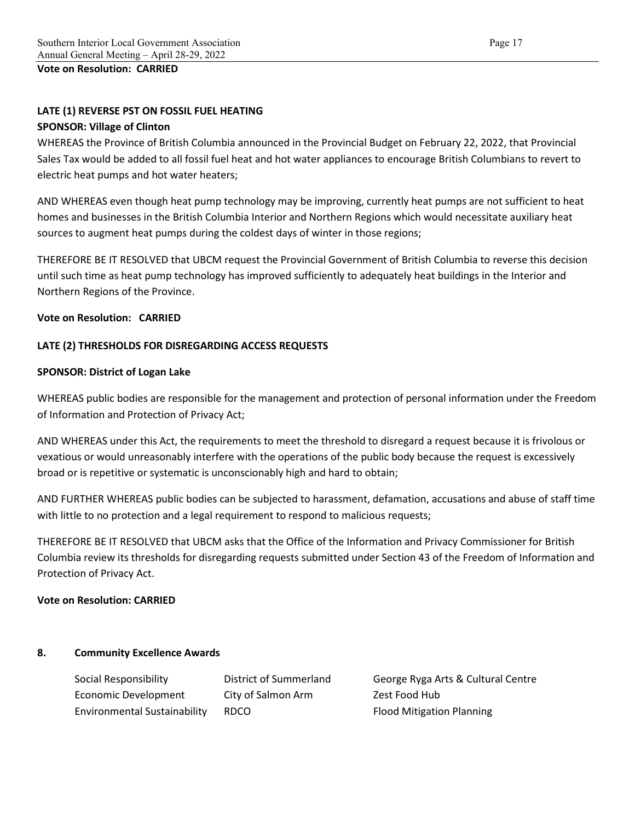**Vote on Resolution: CARRIED**

## **LATE (1) REVERSE PST ON FOSSIL FUEL HEATING**

#### **SPONSOR: Village of Clinton**

WHEREAS the Province of British Columbia announced in the Provincial Budget on February 22, 2022, that Provincial Sales Tax would be added to all fossil fuel heat and hot water appliances to encourage British Columbians to revert to electric heat pumps and hot water heaters;

AND WHEREAS even though heat pump technology may be improving, currently heat pumps are not sufficient to heat homes and businesses in the British Columbia Interior and Northern Regions which would necessitate auxiliary heat sources to augment heat pumps during the coldest days of winter in those regions;

THEREFORE BE IT RESOLVED that UBCM request the Provincial Government of British Columbia to reverse this decision until such time as heat pump technology has improved sufficiently to adequately heat buildings in the Interior and Northern Regions of the Province.

#### **Vote on Resolution: CARRIED**

#### **LATE (2) THRESHOLDS FOR DISREGARDING ACCESS REQUESTS**

#### **SPONSOR: District of Logan Lake**

WHEREAS public bodies are responsible for the management and protection of personal information under the Freedom of Information and Protection of Privacy Act;

AND WHEREAS under this Act, the requirements to meet the threshold to disregard a request because it is frivolous or vexatious or would unreasonably interfere with the operations of the public body because the request is excessively broad or is repetitive or systematic is unconscionably high and hard to obtain;

AND FURTHER WHEREAS public bodies can be subjected to harassment, defamation, accusations and abuse of staff time with little to no protection and a legal requirement to respond to malicious requests;

THEREFORE BE IT RESOLVED that UBCM asks that the Office of the Information and Privacy Commissioner for British Columbia review its thresholds for disregarding requests submitted under Section 43 of the Freedom of Information and Protection of Privacy Act.

#### **Vote on Resolution: CARRIED**

#### **8. Community Excellence Awards**

| Social Responsibility               | District of Summerland | George Ryga Arts & Cultural Centre |
|-------------------------------------|------------------------|------------------------------------|
| Economic Development                | City of Salmon Arm     | Zest Food Hub                      |
| <b>Environmental Sustainability</b> | <b>RDCO</b>            | <b>Flood Mitigation Planning</b>   |